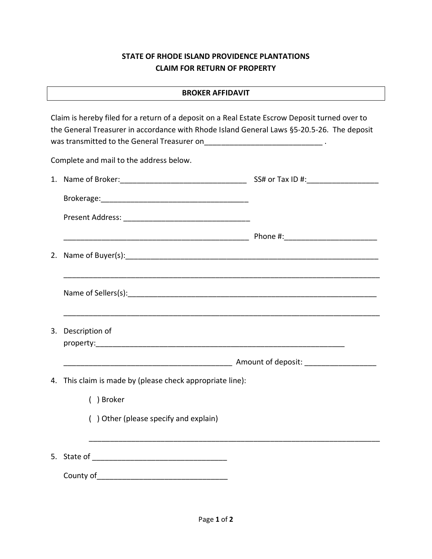## **STATE OF RHODE ISLAND PROVIDENCE PLANTATIONS CLAIM FOR RETURN OF PROPERTY**

Claim is hereby filed for a return of a deposit on a Real Estate Escrow Deposit turned over to the General Treasurer in accordance with Rhode Island General Laws §5-20.5-26. The deposit was transmitted to the General Treasurer on  $\qquad \qquad \qquad$ Complete and mail to the address below. 1. Name of Broker:  $SS#$  or Tax ID #: Brokerage:\_\_\_\_\_\_\_\_\_\_\_\_\_\_\_\_\_\_\_\_\_\_\_\_\_\_\_\_\_\_\_\_\_\_\_ Present Address: \_\_\_\_\_\_\_\_\_\_\_\_\_\_\_\_\_\_\_\_\_\_\_\_\_\_\_\_\_\_  $\blacksquare$  Phone #: 2. Name of Buyer(s):\_\_\_\_\_\_\_\_\_\_\_\_\_\_\_\_\_\_\_\_\_\_\_\_\_\_\_\_\_\_\_\_\_\_\_\_\_\_\_\_\_\_\_\_\_\_\_\_\_\_\_\_\_\_\_\_\_\_\_\_ \_\_\_\_\_\_\_\_\_\_\_\_\_\_\_\_\_\_\_\_\_\_\_\_\_\_\_\_\_\_\_\_\_\_\_\_\_\_\_\_\_\_\_\_\_\_\_\_\_\_\_\_\_\_\_\_\_\_\_\_\_\_\_\_\_\_\_\_\_\_\_\_\_\_\_ Name of Sellers(s):\_\_\_\_\_\_\_\_\_\_\_\_\_\_\_\_\_\_\_\_\_\_\_\_\_\_\_\_\_\_\_\_\_\_\_\_\_\_\_\_\_\_\_\_\_\_\_\_\_\_\_\_\_\_\_\_\_\_\_ \_\_\_\_\_\_\_\_\_\_\_\_\_\_\_\_\_\_\_\_\_\_\_\_\_\_\_\_\_\_\_\_\_\_\_\_\_\_\_\_\_\_\_\_\_\_\_\_\_\_\_\_\_\_\_\_\_\_\_\_\_\_\_\_\_\_\_\_\_\_\_\_\_\_\_ 3. Description of property:\_\_\_\_\_\_\_\_\_\_\_\_\_\_\_\_\_\_\_\_\_\_\_\_\_\_\_\_\_\_\_\_\_\_\_\_\_\_\_\_\_\_\_\_\_\_\_\_\_\_\_\_\_\_\_\_\_\_\_ \_\_\_\_\_\_\_\_\_\_\_\_\_\_\_\_\_\_\_\_\_\_\_\_\_\_\_\_\_\_\_\_\_\_\_\_\_\_\_\_ Amount of deposit: \_\_\_\_\_\_\_\_\_\_\_\_\_\_\_\_\_ 4. This claim is made by (please check appropriate line): ( ) Broker ( ) Other (please specify and explain) \_\_\_\_\_\_\_\_\_\_\_\_\_\_\_\_\_\_\_\_\_\_\_\_\_\_\_\_\_\_\_\_\_\_\_\_\_\_\_\_\_\_\_\_\_\_\_\_\_\_\_\_\_\_\_\_\_\_\_\_\_\_\_\_\_\_\_\_\_ 5. State of \_\_\_\_\_\_\_\_\_\_\_\_\_\_\_\_\_\_\_\_\_\_\_\_\_\_\_\_\_\_\_\_ County of\_\_\_\_\_\_\_\_\_\_\_\_\_\_\_\_\_\_\_\_\_\_\_\_\_\_\_\_\_\_\_